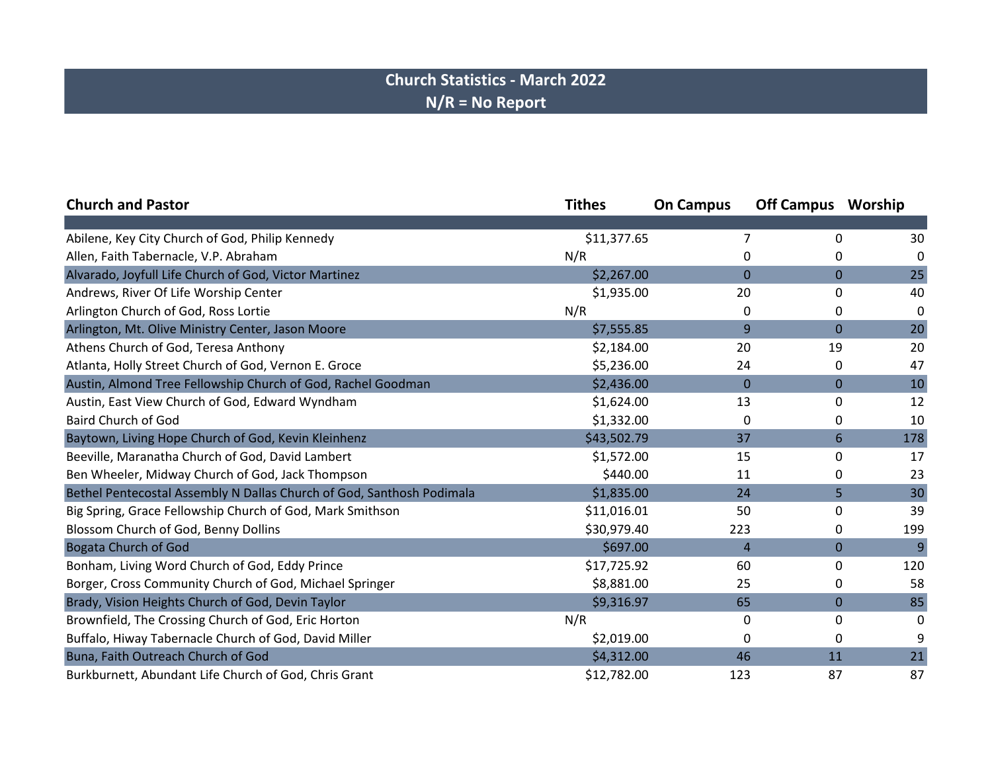## **Church Statistics - March 2022 N/R = No Report**

| <b>Church and Pastor</b>                                              | <b>Tithes</b> | <b>On Campus</b> | <b>Off Campus</b> Worship |     |
|-----------------------------------------------------------------------|---------------|------------------|---------------------------|-----|
|                                                                       |               |                  |                           |     |
| Abilene, Key City Church of God, Philip Kennedy                       | \$11,377.65   |                  | 0                         | 30  |
| Allen, Faith Tabernacle, V.P. Abraham                                 | N/R           | 0                | 0                         | 0   |
| Alvarado, Joyfull Life Church of God, Victor Martinez                 | \$2,267.00    | $\overline{0}$   | $\overline{0}$            | 25  |
| Andrews, River Of Life Worship Center                                 | \$1,935.00    | 20               | 0                         | 40  |
| Arlington Church of God, Ross Lortie                                  | N/R           | 0                | 0                         | 0   |
| Arlington, Mt. Olive Ministry Center, Jason Moore                     | \$7,555.85    | 9                | 0                         | 20  |
| Athens Church of God, Teresa Anthony                                  | \$2,184.00    | 20               | 19                        | 20  |
| Atlanta, Holly Street Church of God, Vernon E. Groce                  | \$5,236.00    | 24               | 0                         | 47  |
| Austin, Almond Tree Fellowship Church of God, Rachel Goodman          | \$2,436.00    | $\mathbf{0}$     | 0                         | 10  |
| Austin, East View Church of God, Edward Wyndham                       | \$1,624.00    | 13               | 0                         | 12  |
| <b>Baird Church of God</b>                                            | \$1,332.00    | 0                | 0                         | 10  |
| Baytown, Living Hope Church of God, Kevin Kleinhenz                   | \$43,502.79   | 37               | 6                         | 178 |
| Beeville, Maranatha Church of God, David Lambert                      | \$1,572.00    | 15               | 0                         | 17  |
| Ben Wheeler, Midway Church of God, Jack Thompson                      | \$440.00      | 11               | 0                         | 23  |
| Bethel Pentecostal Assembly N Dallas Church of God, Santhosh Podimala | \$1,835.00    | 24               | 5                         | 30  |
| Big Spring, Grace Fellowship Church of God, Mark Smithson             | \$11,016.01   | 50               | 0                         | 39  |
| Blossom Church of God, Benny Dollins                                  | \$30,979.40   | 223              | 0                         | 199 |
| <b>Bogata Church of God</b>                                           | \$697.00      | 4                | $\overline{0}$            | 9   |
| Bonham, Living Word Church of God, Eddy Prince                        | \$17,725.92   | 60               | 0                         | 120 |
| Borger, Cross Community Church of God, Michael Springer               | \$8,881.00    | 25               | 0                         | 58  |
| Brady, Vision Heights Church of God, Devin Taylor                     | \$9,316.97    | 65               | $\mathbf{0}$              | 85  |
| Brownfield, The Crossing Church of God, Eric Horton                   | N/R           | 0                | 0                         | 0   |
| Buffalo, Hiway Tabernacle Church of God, David Miller                 | \$2,019.00    | 0                | 0                         | 9   |
| Buna, Faith Outreach Church of God                                    | \$4,312.00    | 46               | 11                        | 21  |
| Burkburnett, Abundant Life Church of God, Chris Grant                 | \$12,782.00   | 123              | 87                        | 87  |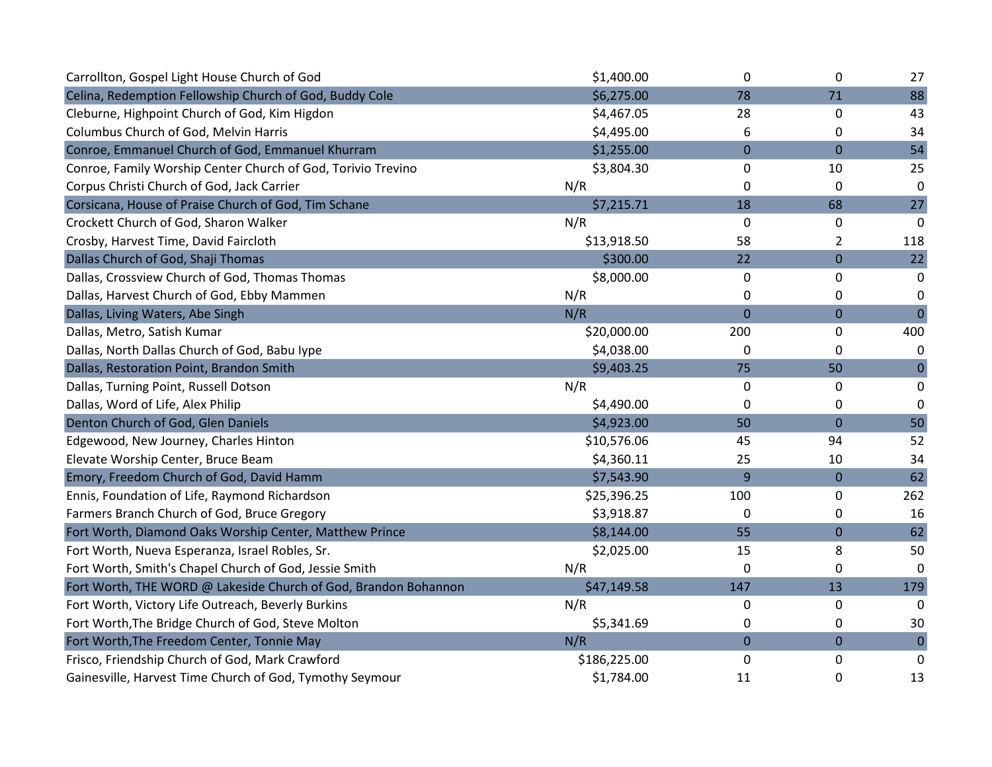| Carrollton, Gospel Light House Church of God                    | \$1,400.00   | 0              | 0                | 27             |
|-----------------------------------------------------------------|--------------|----------------|------------------|----------------|
| Celina, Redemption Fellowship Church of God, Buddy Cole         | \$6,275.00   | 78             | 71               | 88             |
| Cleburne, Highpoint Church of God, Kim Higdon                   | \$4,467.05   | 28             | 0                | 43             |
| Columbus Church of God, Melvin Harris                           | \$4,495.00   | 6              | 0                | 34             |
| Conroe, Emmanuel Church of God, Emmanuel Khurram                | \$1,255.00   | $\mathbf 0$    | $\boldsymbol{0}$ | 54             |
| Conroe, Family Worship Center Church of God, Torivio Trevino    | \$3,804.30   | 0              | 10               | 25             |
| Corpus Christi Church of God, Jack Carrier                      | N/R          | 0              | 0                | 0              |
| Corsicana, House of Praise Church of God, Tim Schane            | \$7,215.71   | 18             | 68               | 27             |
| Crockett Church of God, Sharon Walker                           | N/R          | 0              | 0                | 0              |
| Crosby, Harvest Time, David Faircloth                           | \$13,918.50  | 58             | $\overline{2}$   | 118            |
| Dallas Church of God, Shaji Thomas                              | \$300.00     | 22             | $\boldsymbol{0}$ | 22             |
| Dallas, Crossview Church of God, Thomas Thomas                  | \$8,000.00   | 0              | 0                | 0              |
| Dallas, Harvest Church of God, Ebby Mammen                      | N/R          | 0              | 0                | 0              |
| Dallas, Living Waters, Abe Singh                                | N/R          | $\overline{0}$ | $\overline{0}$   | $\overline{0}$ |
| Dallas, Metro, Satish Kumar                                     | \$20,000.00  | 200            | 0                | 400            |
| Dallas, North Dallas Church of God, Babu Iype                   | \$4,038.00   | 0              | 0                | 0              |
| Dallas, Restoration Point, Brandon Smith                        | \$9,403.25   | 75             | 50               | $\mathbf 0$    |
| Dallas, Turning Point, Russell Dotson                           | N/R          | 0              | 0                | $\mathbf 0$    |
| Dallas, Word of Life, Alex Philip                               | \$4,490.00   | 0              | 0                | 0              |
| Denton Church of God, Glen Daniels                              | \$4,923.00   | 50             | $\boldsymbol{0}$ | 50             |
| Edgewood, New Journey, Charles Hinton                           | \$10,576.06  | 45             | 94               | 52             |
| Elevate Worship Center, Bruce Beam                              | \$4,360.11   | 25             | 10               | 34             |
| Emory, Freedom Church of God, David Hamm                        | \$7,543.90   | 9              | $\boldsymbol{0}$ | 62             |
| Ennis, Foundation of Life, Raymond Richardson                   | \$25,396.25  | 100            | 0                | 262            |
| Farmers Branch Church of God, Bruce Gregory                     | \$3,918.87   | 0              | 0                | 16             |
| Fort Worth, Diamond Oaks Worship Center, Matthew Prince         | \$8,144.00   | 55             | $\overline{0}$   | 62             |
| Fort Worth, Nueva Esperanza, Israel Robles, Sr.                 | \$2,025.00   | 15             | 8                | 50             |
| Fort Worth, Smith's Chapel Church of God, Jessie Smith          | N/R          | 0              | 0                | $\Omega$       |
| Fort Worth, THE WORD @ Lakeside Church of God, Brandon Bohannon | \$47,149.58  | 147            | 13               | 179            |
| Fort Worth, Victory Life Outreach, Beverly Burkins              | N/R          | 0              | 0                | 0              |
| Fort Worth, The Bridge Church of God, Steve Molton              | \$5,341.69   | 0              | 0                | 30             |
| Fort Worth, The Freedom Center, Tonnie May                      | N/R          | $\mathbf{0}$   | $\mathbf 0$      | $\mathbf 0$    |
| Frisco, Friendship Church of God, Mark Crawford                 | \$186,225.00 | 0              | 0                | 0              |
| Gainesville, Harvest Time Church of God, Tymothy Seymour        | \$1,784.00   | 11             | 0                | 13             |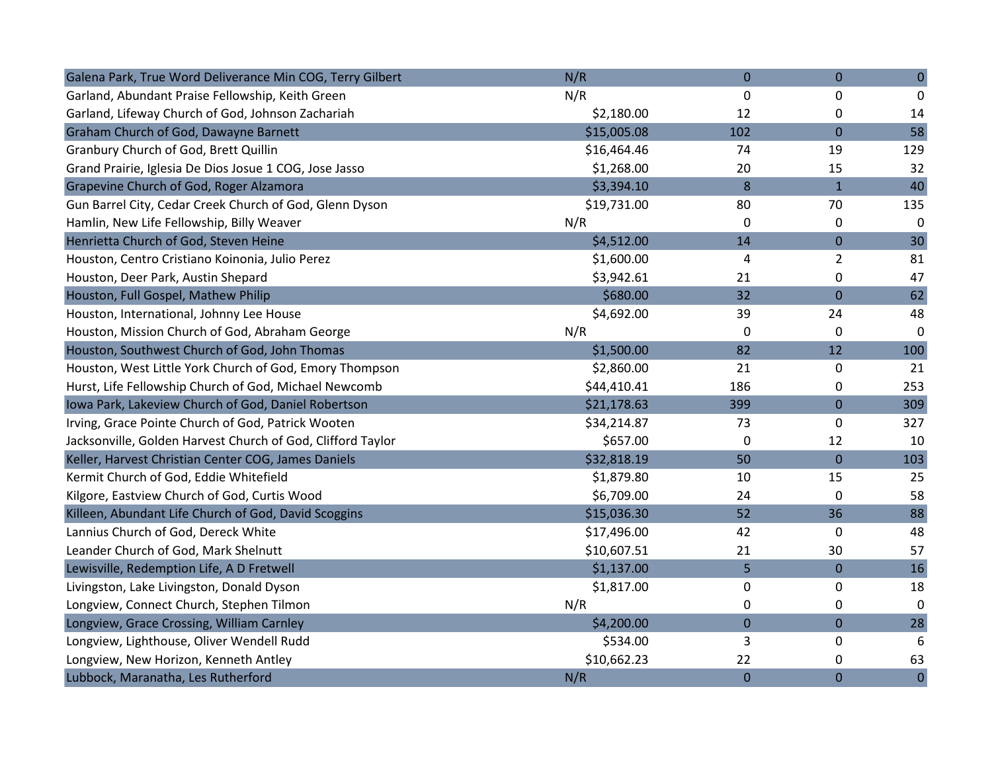| Galena Park, True Word Deliverance Min COG, Terry Gilbert   | N/R         | $\overline{0}$ | $\overline{0}$   | $\pmb{0}$      |
|-------------------------------------------------------------|-------------|----------------|------------------|----------------|
| Garland, Abundant Praise Fellowship, Keith Green            | N/R         | 0              | 0                | 0              |
| Garland, Lifeway Church of God, Johnson Zachariah           | \$2,180.00  | 12             | 0                | 14             |
| <b>Graham Church of God, Dawayne Barnett</b>                | \$15,005.08 | 102            | $\overline{0}$   | 58             |
| Granbury Church of God, Brett Quillin                       | \$16,464.46 | 74             | 19               | 129            |
| Grand Prairie, Iglesia De Dios Josue 1 COG, Jose Jasso      | \$1,268.00  | 20             | 15               | 32             |
| Grapevine Church of God, Roger Alzamora                     | \$3,394.10  | 8              | $\mathbf{1}$     | 40             |
| Gun Barrel City, Cedar Creek Church of God, Glenn Dyson     | \$19,731.00 | 80             | 70               | 135            |
| Hamlin, New Life Fellowship, Billy Weaver                   | N/R         | 0              | 0                | 0              |
| Henrietta Church of God, Steven Heine                       | \$4,512.00  | 14             | $\overline{0}$   | 30             |
| Houston, Centro Cristiano Koinonia, Julio Perez             | \$1,600.00  | 4              | $\overline{2}$   | 81             |
| Houston, Deer Park, Austin Shepard                          | \$3,942.61  | 21             | 0                | 47             |
| Houston, Full Gospel, Mathew Philip                         | \$680.00    | 32             | $\boldsymbol{0}$ | 62             |
| Houston, International, Johnny Lee House                    | \$4,692.00  | 39             | 24               | 48             |
| Houston, Mission Church of God, Abraham George              | N/R         | 0              | 0                | $\mathbf 0$    |
| Houston, Southwest Church of God, John Thomas               | \$1,500.00  | 82             | 12               | 100            |
| Houston, West Little York Church of God, Emory Thompson     | \$2,860.00  | 21             | 0                | 21             |
| Hurst, Life Fellowship Church of God, Michael Newcomb       | \$44,410.41 | 186            | 0                | 253            |
| Iowa Park, Lakeview Church of God, Daniel Robertson         | \$21,178.63 | 399            | $\overline{0}$   | 309            |
| Irving, Grace Pointe Church of God, Patrick Wooten          | \$34,214.87 | 73             | 0                | 327            |
| Jacksonville, Golden Harvest Church of God, Clifford Taylor | \$657.00    | 0              | 12               | 10             |
| Keller, Harvest Christian Center COG, James Daniels         | \$32,818.19 | 50             | $\mathbf 0$      | 103            |
| Kermit Church of God, Eddie Whitefield                      | \$1,879.80  | 10             | 15               | 25             |
| Kilgore, Eastview Church of God, Curtis Wood                | \$6,709.00  | 24             | 0                | 58             |
| Killeen, Abundant Life Church of God, David Scoggins        | \$15,036.30 | 52             | 36               | 88             |
| Lannius Church of God, Dereck White                         | \$17,496.00 | 42             | 0                | 48             |
| Leander Church of God, Mark Shelnutt                        | \$10,607.51 | 21             | 30               | 57             |
| Lewisville, Redemption Life, A D Fretwell                   | \$1,137.00  | 5              | $\mathbf 0$      | 16             |
| Livingston, Lake Livingston, Donald Dyson                   | \$1,817.00  | 0              | 0                | 18             |
| Longview, Connect Church, Stephen Tilmon                    | N/R         | 0              | 0                | 0              |
| Longview, Grace Crossing, William Carnley                   | \$4,200.00  | $\pmb{0}$      | $\boldsymbol{0}$ | 28             |
| Longview, Lighthouse, Oliver Wendell Rudd                   | \$534.00    | 3              | 0                | 6              |
| Longview, New Horizon, Kenneth Antley                       | \$10,662.23 | 22             | 0                | 63             |
| Lubbock, Maranatha, Les Rutherford                          | N/R         | $\overline{0}$ | $\overline{0}$   | $\overline{0}$ |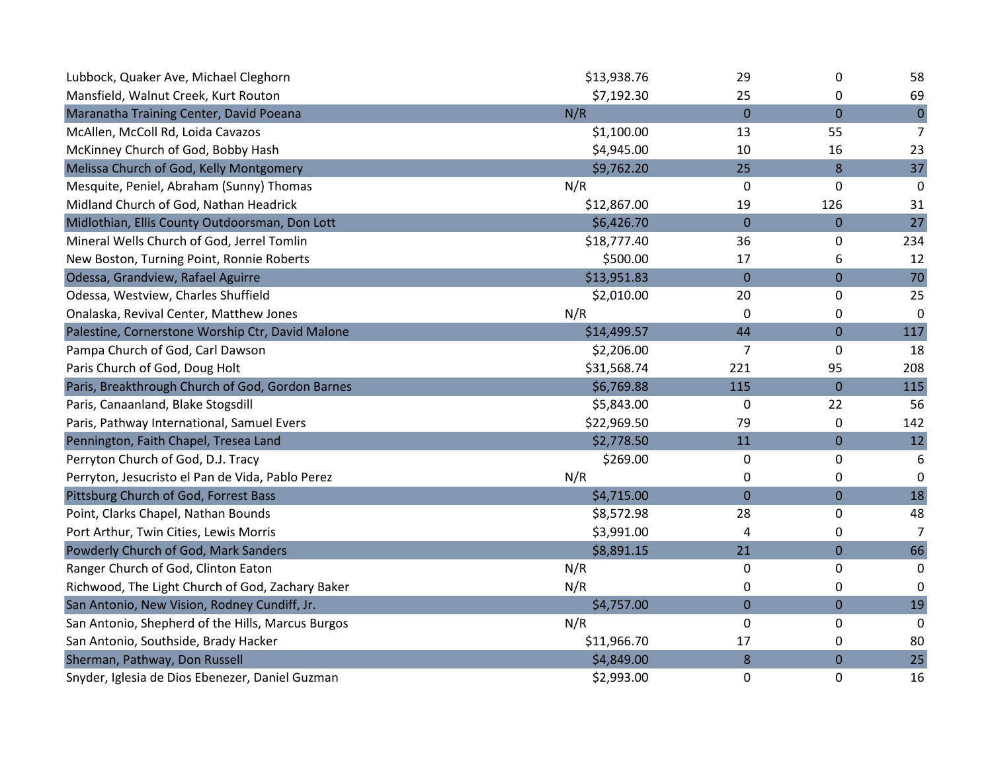| Lubbock, Quaker Ave, Michael Cleghorn             | \$13,938.76 | 29             | 0                | 58             |
|---------------------------------------------------|-------------|----------------|------------------|----------------|
| Mansfield, Walnut Creek, Kurt Routon              | \$7,192.30  | 25             | 0                | 69             |
| Maranatha Training Center, David Poeana           | N/R         | $\overline{0}$ | $\overline{0}$   | $\overline{0}$ |
| McAllen, McColl Rd, Loida Cavazos                 | \$1,100.00  | 13             | 55               | $\overline{7}$ |
| McKinney Church of God, Bobby Hash                | \$4,945.00  | 10             | 16               | 23             |
| Melissa Church of God, Kelly Montgomery           | \$9,762.20  | 25             | 8                | 37             |
| Mesquite, Peniel, Abraham (Sunny) Thomas          | N/R         | 0              | 0                | 0              |
| Midland Church of God, Nathan Headrick            | \$12,867.00 | 19             | 126              | 31             |
| Midlothian, Ellis County Outdoorsman, Don Lott    | \$6,426.70  | $\mathbf 0$    | $\overline{0}$   | 27             |
| Mineral Wells Church of God, Jerrel Tomlin        | \$18,777.40 | 36             | 0                | 234            |
| New Boston, Turning Point, Ronnie Roberts         | \$500.00    | 17             | 6                | 12             |
| Odessa, Grandview, Rafael Aguirre                 | \$13,951.83 | $\mathbf 0$    | $\mathbf 0$      | 70             |
| Odessa, Westview, Charles Shuffield               | \$2,010.00  | 20             | 0                | 25             |
| Onalaska, Revival Center, Matthew Jones           | N/R         | 0              | 0                | 0              |
| Palestine, Cornerstone Worship Ctr, David Malone  | \$14,499.57 | 44             | $\pmb{0}$        | 117            |
| Pampa Church of God, Carl Dawson                  | \$2,206.00  | $\overline{7}$ | 0                | 18             |
| Paris Church of God, Doug Holt                    | \$31,568.74 | 221            | 95               | 208            |
| Paris, Breakthrough Church of God, Gordon Barnes  | \$6,769.88  | 115            | $\mathbf 0$      | 115            |
| Paris, Canaanland, Blake Stogsdill                | \$5,843.00  | 0              | 22               | 56             |
| Paris, Pathway International, Samuel Evers        | \$22,969.50 | 79             | 0                | 142            |
| Pennington, Faith Chapel, Tresea Land             | \$2,778.50  | 11             | $\boldsymbol{0}$ | 12             |
| Perryton Church of God, D.J. Tracy                | \$269.00    | 0              | 0                | 6              |
| Perryton, Jesucristo el Pan de Vida, Pablo Perez  | N/R         | 0              | 0                | 0              |
| Pittsburg Church of God, Forrest Bass             | \$4,715.00  | $\mathbf 0$    | $\mathbf 0$      | 18             |
| Point, Clarks Chapel, Nathan Bounds               | \$8,572.98  | 28             | 0                | 48             |
| Port Arthur, Twin Cities, Lewis Morris            | \$3,991.00  | 4              | 0                | 7              |
| Powderly Church of God, Mark Sanders              | \$8,891.15  | 21             | $\pmb{0}$        | 66             |
| Ranger Church of God, Clinton Eaton               | N/R         | 0              | 0                | 0              |
| Richwood, The Light Church of God, Zachary Baker  | N/R         | 0              | 0                | 0              |
| San Antonio, New Vision, Rodney Cundiff, Jr.      | \$4,757.00  | $\mathbf 0$    | $\boldsymbol{0}$ | 19             |
| San Antonio, Shepherd of the Hills, Marcus Burgos | N/R         | 0              | 0                | 0              |
| San Antonio, Southside, Brady Hacker              | \$11,966.70 | 17             | 0                | 80             |
| Sherman, Pathway, Don Russell                     | \$4,849.00  | 8              | $\boldsymbol{0}$ | 25             |
| Snyder, Iglesia de Dios Ebenezer, Daniel Guzman   | \$2,993.00  | 0              | 0                | 16             |